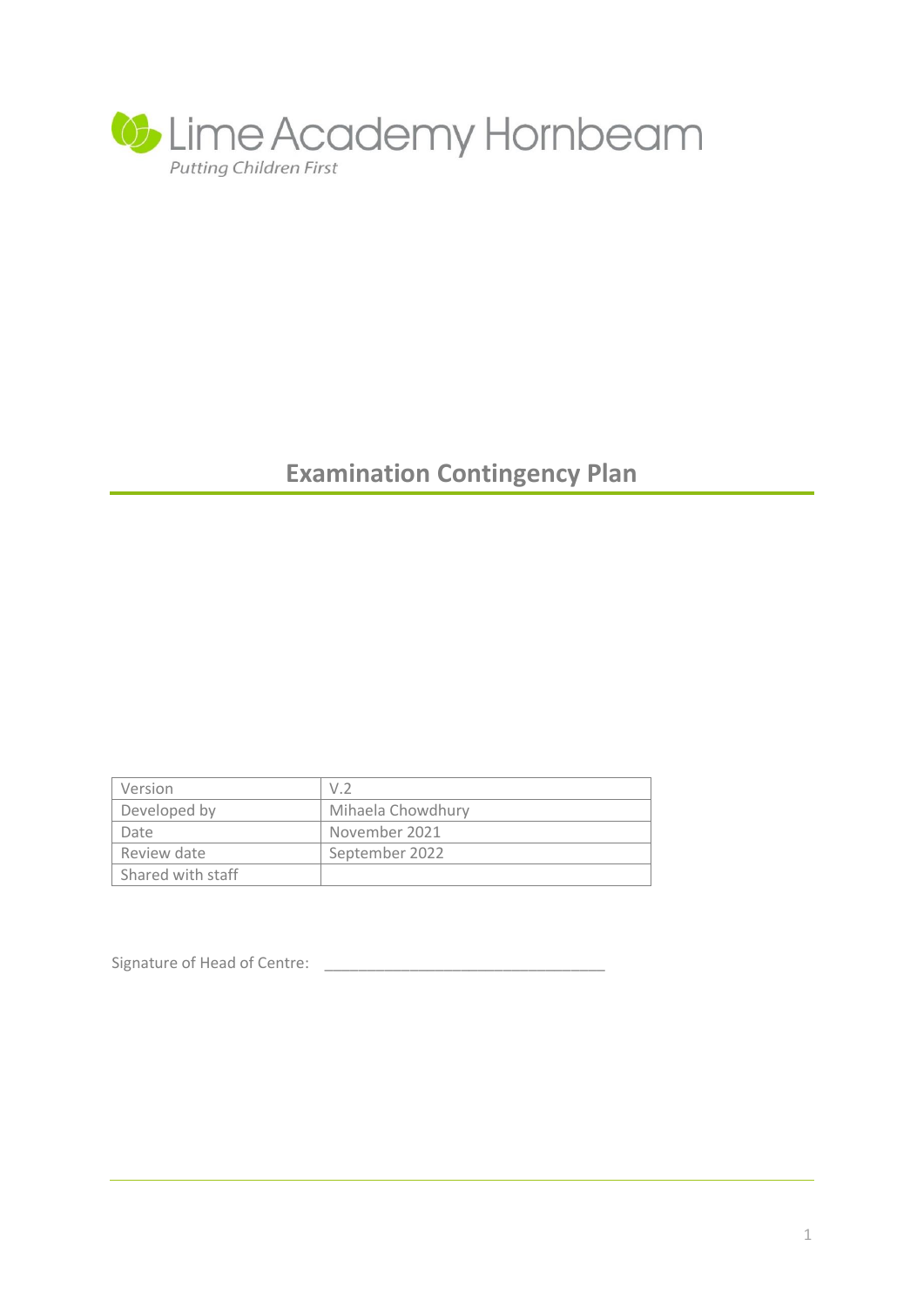

# **Examination Contingency Plan**

| Version           | V.2               |
|-------------------|-------------------|
| Developed by      | Mihaela Chowdhury |
| Date              | November 2021     |
| Review date       | September 2022    |
| Shared with staff |                   |

Signature of Head of Centre: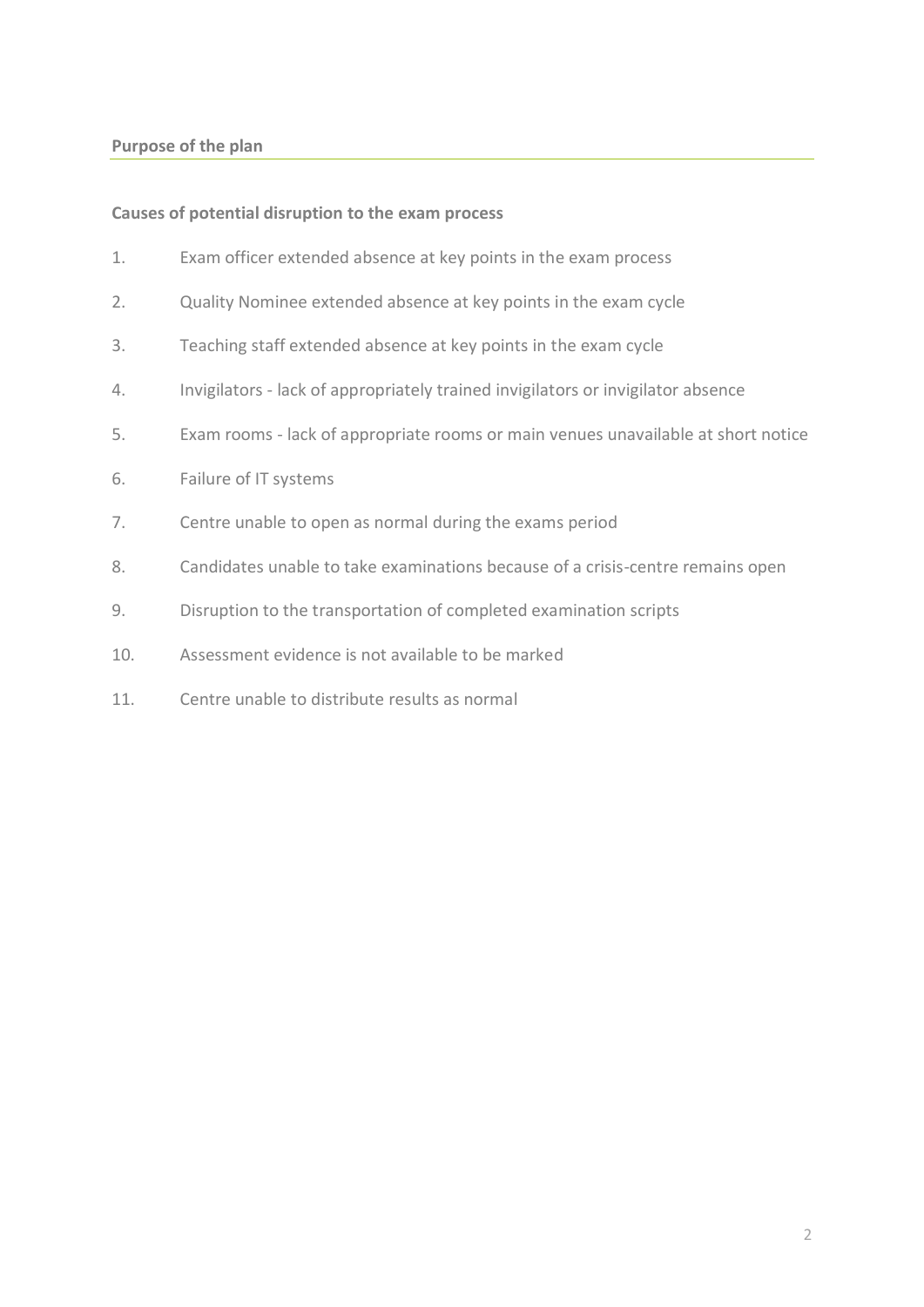## **Purpose of the plan**

## **Causes of potential disruption to the exam process**

- 1. Exam officer extended absence at key points in the exam process
- 2. Quality Nominee extended absence at key points in the exam cycle
- 3. Teaching staff extended absence at key points in the exam cycle
- 4. Invigilators lack of appropriately trained invigilators or invigilator absence
- 5. Exam rooms lack of appropriate rooms or main venues unavailable at short notice
- 6. Failure of IT systems
- 7. Centre unable to open as normal during the exams period
- 8. Candidates unable to take examinations because of a crisis-centre remains open
- 9. Disruption to the transportation of completed examination scripts
- 10. Assessment evidence is not available to be marked
- 11. Centre unable to distribute results as normal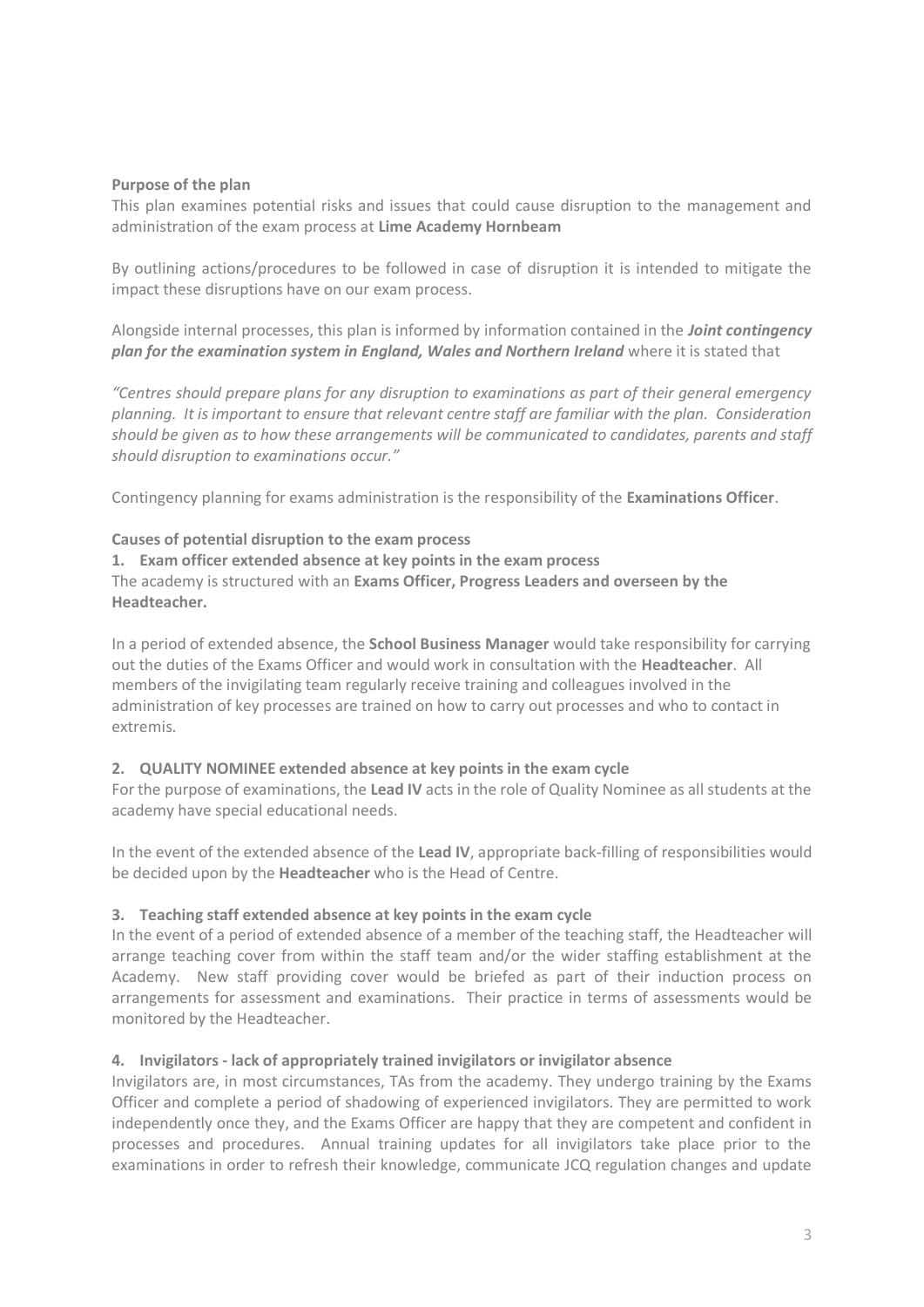## **Purpose of the plan**

This plan examines potential risks and issues that could cause disruption to the management and administration of the exam process at **Lime Academy Hornbeam**

By outlining actions/procedures to be followed in case of disruption it is intended to mitigate the impact these disruptions have on our exam process.

Alongside internal processes, this plan is informed by information contained in the *Joint contingency plan for the examination system in England, Wales and Northern Ireland* **where it is stated that** 

*"Centres should prepare plans for any disruption to examinations as part of their general emergency planning. It is important to ensure that relevant centre staff are familiar with the plan. Consideration should be given as to how these arrangements will be communicated to candidates, parents and staff should disruption to examinations occur."* 

Contingency planning for exams administration is the responsibility of the **Examinations Officer**.

## **Causes of potential disruption to the exam process**

**1. Exam officer extended absence at key points in the exam process** The academy is structured with an **Exams Officer, Progress Leaders and overseen by the Headteacher.**

In a period of extended absence, the **School Business Manager** would take responsibility for carrying out the duties of the Exams Officer and would work in consultation with the **Headteacher**. All members of the invigilating team regularly receive training and colleagues involved in the administration of key processes are trained on how to carry out processes and who to contact in extremis.

#### **2. QUALITY NOMINEE extended absence at key points in the exam cycle**

For the purpose of examinations, the **Lead IV** acts in the role of Quality Nominee as all students at the academy have special educational needs.

In the event of the extended absence of the **Lead IV**, appropriate back-filling of responsibilities would be decided upon by the **Headteacher** who is the Head of Centre.

#### **3. Teaching staff extended absence at key points in the exam cycle**

In the event of a period of extended absence of a member of the teaching staff, the Headteacher will arrange teaching cover from within the staff team and/or the wider staffing establishment at the Academy. New staff providing cover would be briefed as part of their induction process on arrangements for assessment and examinations. Their practice in terms of assessments would be monitored by the Headteacher.

#### **4. Invigilators - lack of appropriately trained invigilators or invigilator absence**

Invigilators are, in most circumstances, TAs from the academy. They undergo training by the Exams Officer and complete a period of shadowing of experienced invigilators. They are permitted to work independently once they, and the Exams Officer are happy that they are competent and confident in processes and procedures. Annual training updates for all invigilators take place prior to the examinations in order to refresh their knowledge, communicate JCQ regulation changes and update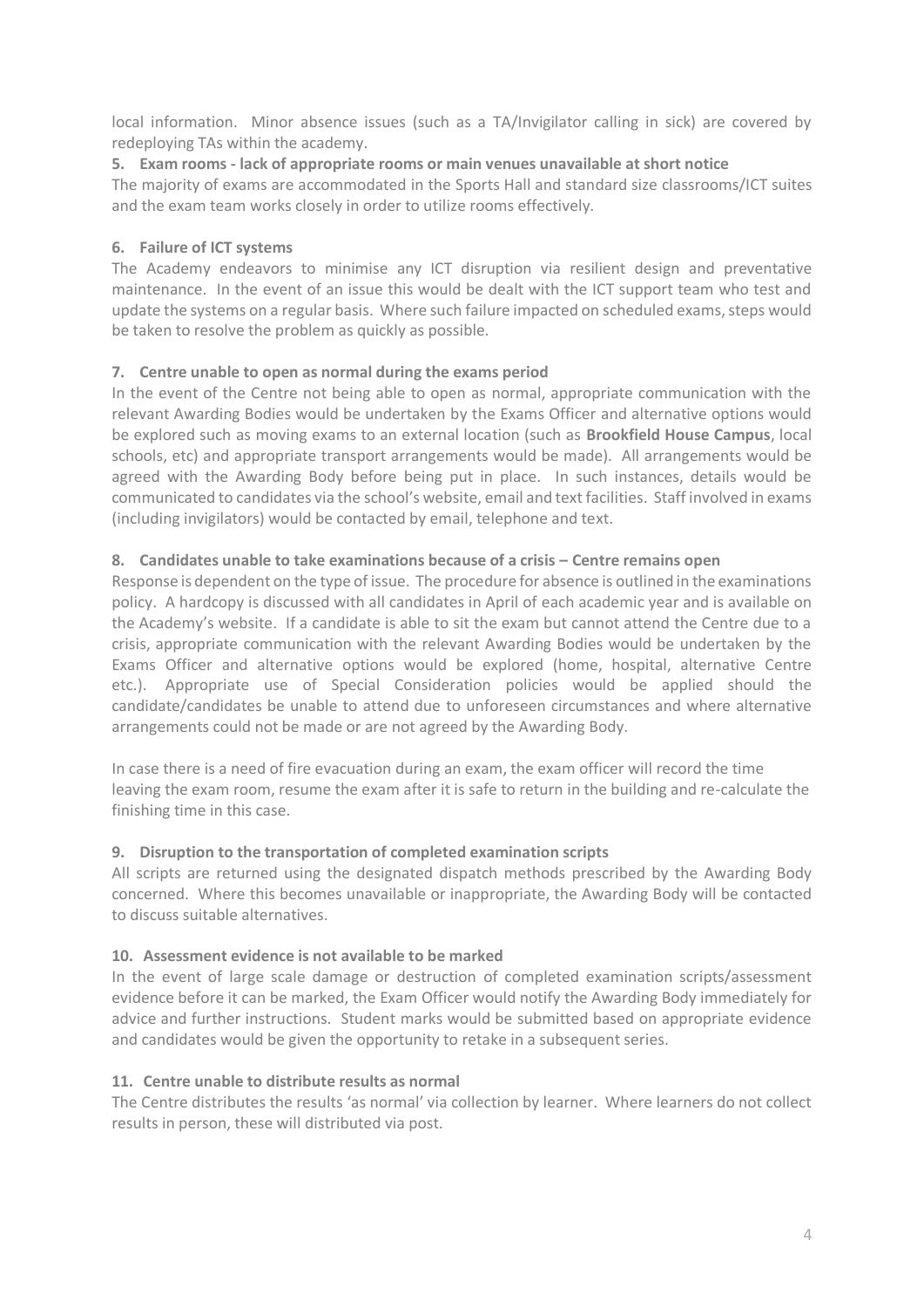local information. Minor absence issues (such as a TA/Invigilator calling in sick) are covered by redeploying TAs within the academy.

## **5. Exam rooms - lack of appropriate rooms or main venues unavailable at short notice**

The majority of exams are accommodated in the Sports Hall and standard size classrooms/ICT suites and the exam team works closely in order to utilize rooms effectively.

## **6. Failure of ICT systems**

The Academy endeavors to minimise any ICT disruption via resilient design and preventative maintenance. In the event of an issue this would be dealt with the ICT support team who test and update the systems on a regular basis. Where such failure impacted on scheduled exams, steps would be taken to resolve the problem as quickly as possible.

## **7. Centre unable to open as normal during the exams period**

In the event of the Centre not being able to open as normal, appropriate communication with the relevant Awarding Bodies would be undertaken by the Exams Officer and alternative options would be explored such as moving exams to an external location (such as **Brookfield House Campus**, local schools, etc) and appropriate transport arrangements would be made). All arrangements would be agreed with the Awarding Body before being put in place. In such instances, details would be communicated to candidates via the school's website, email and text facilities. Staff involved in exams (including invigilators) would be contacted by email, telephone and text.

## **8. Candidates unable to take examinations because of a crisis – Centre remains open**

Response is dependent on the type of issue. The procedure for absence is outlined in the examinations policy. A hardcopy is discussed with all candidates in April of each academic year and is available on the Academy's website. If a candidate is able to sit the exam but cannot attend the Centre due to a crisis, appropriate communication with the relevant Awarding Bodies would be undertaken by the Exams Officer and alternative options would be explored (home, hospital, alternative Centre etc.). Appropriate use of Special Consideration policies would be applied should the candidate/candidates be unable to attend due to unforeseen circumstances and where alternative arrangements could not be made or are not agreed by the Awarding Body.

In case there is a need of fire evacuation during an exam, the exam officer will record the time leaving the exam room, resume the exam after it is safe to return in the building and re-calculate the finishing time in this case.

## **9. Disruption to the transportation of completed examination scripts**

All scripts are returned using the designated dispatch methods prescribed by the Awarding Body concerned. Where this becomes unavailable or inappropriate, the Awarding Body will be contacted to discuss suitable alternatives.

## **10. Assessment evidence is not available to be marked**

In the event of large scale damage or destruction of completed examination scripts/assessment evidence before it can be marked, the Exam Officer would notify the Awarding Body immediately for advice and further instructions. Student marks would be submitted based on appropriate evidence and candidates would be given the opportunity to retake in a subsequent series.

## **11. Centre unable to distribute results as normal**

The Centre distributes the results 'as normal' via collection by learner. Where learners do not collect results in person, these will distributed via post.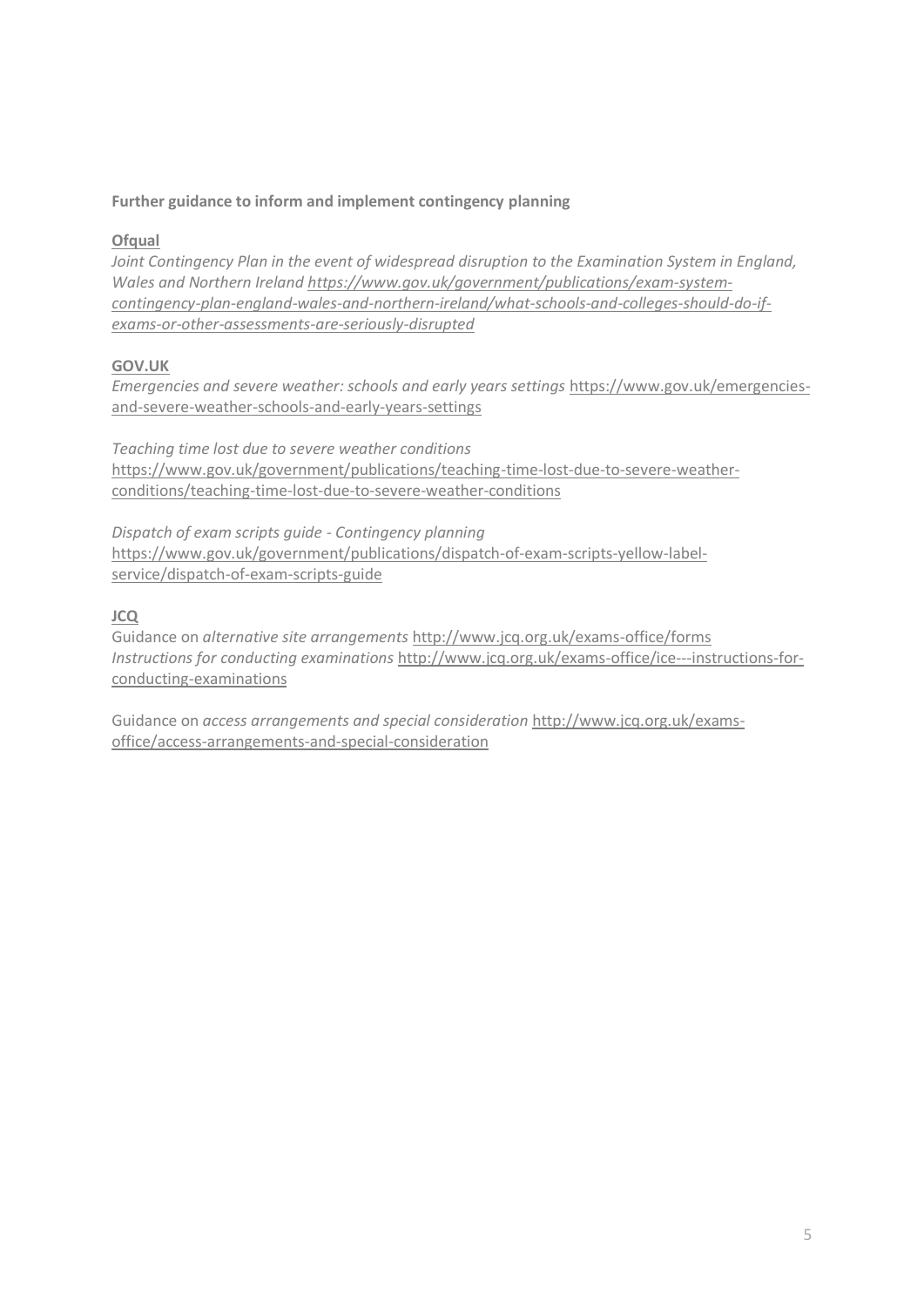## **Further guidance to inform and implement contingency planning**

## **Ofqual**

*Joint Contingency Plan in the event of widespread disruption to the Examination System in England, Wales and Northern Ireland [https://www.gov.uk/government/publications/exam-system](https://www.gov.uk/government/publications/exam-system-contingency-plan-england-wales-and-northern-ireland/what-schools-and-colleges-should-do-if-exams-or-other-assessments-are-seriously-disrupted)[contingency-plan-england-wales-and-northern-ireland/what-schools-and-colleges-should-do-if](https://www.gov.uk/government/publications/exam-system-contingency-plan-england-wales-and-northern-ireland/what-schools-and-colleges-should-do-if-exams-or-other-assessments-are-seriously-disrupted)[exams-or-other-assessments-are-seriously-disrupted](https://www.gov.uk/government/publications/exam-system-contingency-plan-england-wales-and-northern-ireland/what-schools-and-colleges-should-do-if-exams-or-other-assessments-are-seriously-disrupted)*

## **GOV.UK**

*Emergencies and severe weather: schools and early years settings* [https://www.gov.uk/emergencies](https://www.gov.uk/emergencies-and-severe-weather-schools-and-early-years-settings)[and-severe-weather-schools-and-early-years-settings](https://www.gov.uk/emergencies-and-severe-weather-schools-and-early-years-settings)

*Teaching time lost due to severe weather conditions* [https://www.gov.uk/government/publications/teaching-time-lost-due-to-severe-weather](https://www.gov.uk/government/publications/teaching-time-lost-due-to-severe-weather-conditions/teaching-time-lost-due-to-severe-weather-conditions)[conditions/teaching-time-lost-due-to-severe-weather-conditions](https://www.gov.uk/government/publications/teaching-time-lost-due-to-severe-weather-conditions/teaching-time-lost-due-to-severe-weather-conditions)

*Dispatch of exam scripts guide - Contingency planning* [https://www.gov.uk/government/publications/dispatch-of-exam-scripts-yellow-label](https://www.gov.uk/government/publications/dispatch-of-exam-scripts-yellow-label-service/dispatch-of-exam-scripts-guide)[service/dispatch-of-exam-scripts-guide](https://www.gov.uk/government/publications/dispatch-of-exam-scripts-yellow-label-service/dispatch-of-exam-scripts-guide)

## **JCQ**

Guidance on *alternative site arrangements* <http://www.jcq.org.uk/exams-office/forms> *Instructions for conducting examinations* [http://www.jcq.org.uk/exams-office/ice---instructions-for](http://www.jcq.org.uk/exams-office/ice---instructions-for-conducting-examinations)[conducting-examinations](http://www.jcq.org.uk/exams-office/ice---instructions-for-conducting-examinations)

Guidance on *access arrangements and special consideration* [http://www.jcq.org.uk/exams](http://www.jcq.org.uk/exams-office/access-arrangements-and-special-consideration)[office/access-arrangements-and-special-consideration](http://www.jcq.org.uk/exams-office/access-arrangements-and-special-consideration)